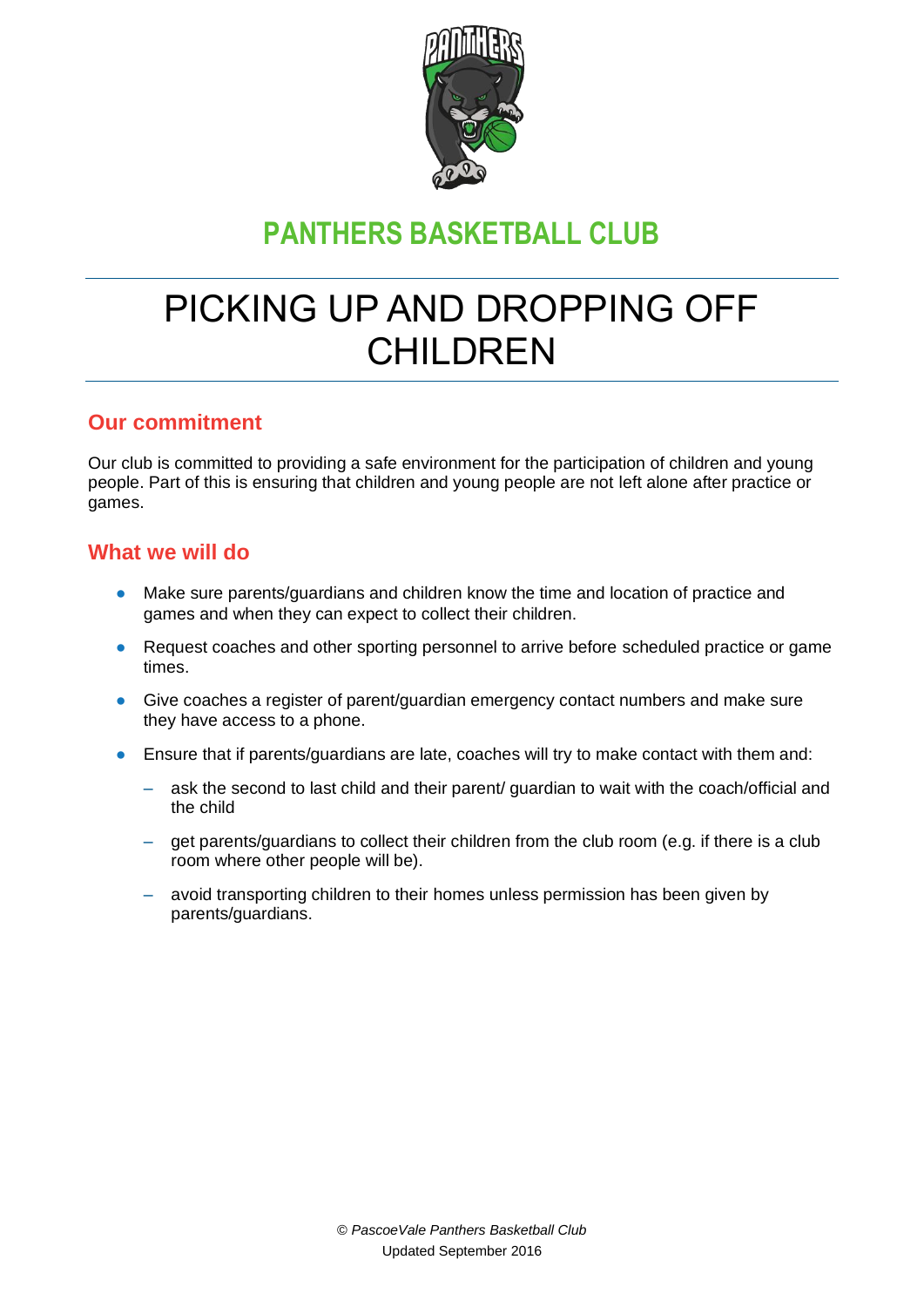

## **PANTHERS BASKETBALL CLUB**

# PICKING UP AND DROPPING OFF CHILDREN

#### **Our commitment**

Our club is committed to providing a safe environment for the participation of children and young people. Part of this is ensuring that children and young people are not left alone after practice or games.

#### **What we will do**

- Make sure parents/guardians and children know the time and location of practice and games and when they can expect to collect their children.
- Request coaches and other sporting personnel to arrive before scheduled practice or game times.
- Give coaches a register of parent/guardian emergency contact numbers and make sure they have access to a phone.
- Ensure that if parents/guardians are late, coaches will try to make contact with them and:
	- ask the second to last child and their parent/ guardian to wait with the coach/official and the child
	- get parents/guardians to collect their children from the club room (e.g. if there is a club room where other people will be).
	- avoid transporting children to their homes unless permission has been given by parents/guardians.